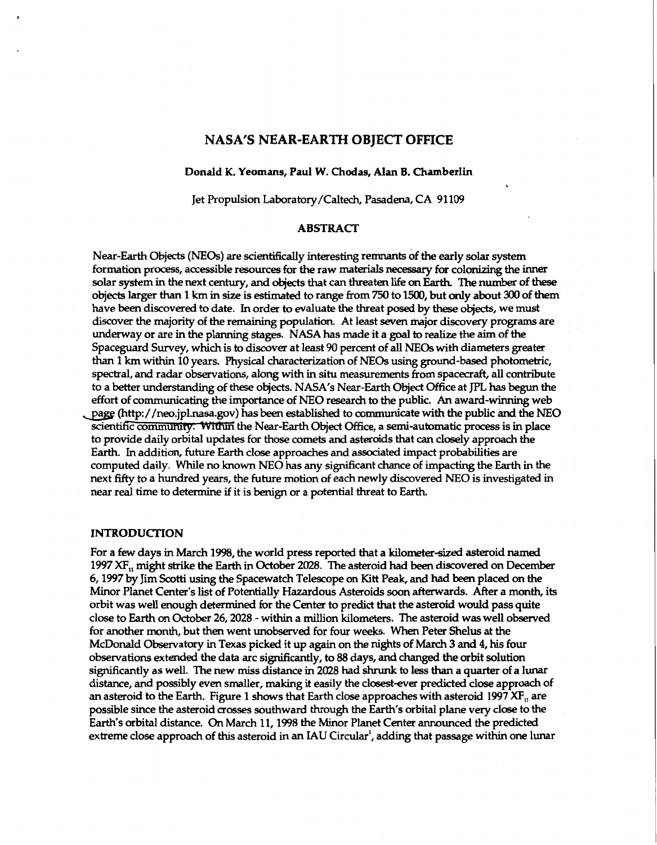# **NASA's NEAR-EARTH OBJECT OFFICE**

#### Donald **K. Yeomans,** Paul **W.** Chodas, **Alan B.** Chamberlin

Jet Propulsion Laboratory/Caltech, Pasadena, CA **91109** 

,

### **ABSTRACT**

Near-Earth **Objects (NEOs)** are scientifically interesting remnants **of** the early solar system formation process, accessible resources for the raw materials necessary for colonizing the inner solar system in the next century, and*objects* that can threaten life *on* **Earth** The number **of** these **objects** larger than **1 km** in *size* is estimated to range from 750 to **1500,** but only about *300* **of** them have been discovered to date. In order to evaluate the threat **posed** by these **objects,** we must discover the majority of the remaining population. At least seven major discovery programs are underway or are in the planning stages. NASA has made it a *goal* to realize the **aim** of the Spaceguard Survey, which is to discover at least 90 percent of all **NEOs** with diameters greater than **1 km** within **10** years. Physical characterization of **NEOS using** ground-based photometric, spectral, and radar observations, along with in situ measurements from spacecraft, all contribute to a better understanding **of** these **objects.** NASA's Near-Earth **Object** Office at JPL **has** begun the **effort** of communicating the importance of NE0 research to the public. **An** award-winning web effort of communicating the importance of NEO research to the public. An award-winning web<br>page (http://neo.jpl.nasa.gov) has been established to communicate with the public and the NEO<br>scientific community: Within the Nea to provide daily orbital updates for those comets **and** asteroids that *can* closely approach the Earth. In addition, future Earth *close* approaches and associated impact probabilities ar computed daily. While no known NEO has any significant chance of impacting the Earth in the next *fifty* to a hundred years, the future motion of each newly discovered NE0 is investigated in near real time to determine if it is benign *or* a potential threat to Earth.

### **INTRODUCfION**

For a few days in March **1998,** the world press reported that a kilometer-sized asteroid **named**  1997 XF<sub>1</sub>, might strike the Earth in October 2028. The asteroid had been discovered on December **6,1997** by Jim Scotti **using** the Spacewatch Telescope on **Kitt** Peak, and had been placed *on* the Minor Planet Center's list **of** Potentially Hazardous Asteroids **soon** afterwards. After a month, its orbit was well enough determined for the Center to predict that the asteroid would pass quite close to Earth on October **26,2028** - within a million kilometers. The asteroid was well **observed**  for another month, but then went unobserved for **four** weeks. When Peter Shelus at the McDonald Observatory in Texas picked it up again on the nights **of** March **3** and **4,** his **four**  observations extended the data arc sigxuficantly, to *88* days, and changed the orbit solution sigxuficantly as well. The new **miss** distance in **2028** had *shrunk* to less than a **quarter of** a **lunar**  distance, and possibly even smaller, making it easily the closest-ever predicted close approach of an asteroid to the Earth. Figure **1** *shows* that Earth close approaches with asteroid **1997** XF,, are possible since the asteroid *crosses* southward through the Earth's orbital plane very close to the Earth's orbital distance. *On* March **11,1998** the Minor Planet Center announced the predicted extreme *close* approach of this asteroid in an **MU** Circular', adding that passage within one lunar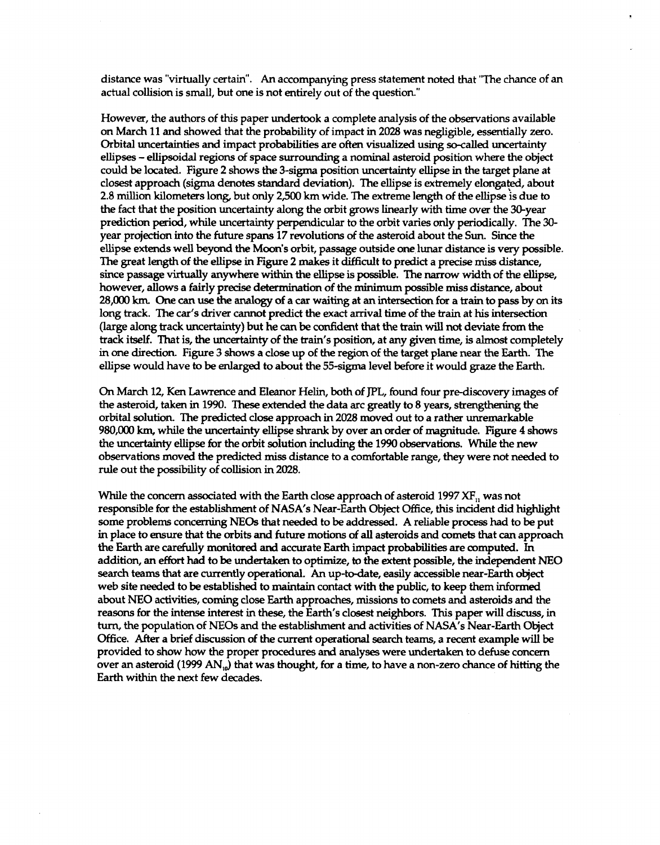distance was "virtually certain". **An** accompanying press statement noted that "The chance of an actual collision is small, but one is not entirely out of the question."

However, the authors of this paper undertook a complete analysis of the observations available *on* March **11** and showed that the probability of impact in **2028** was neghgible, essentially zero. Orbital uncertainties and impact probabilities areoften visualized **using** so-called uncertainty ellipses - ellipsoidal regions *of* space **surrounding** a **nominal** asteroid position where the **object**  could be located. Figure 2 shows the 3-sigma position uncertainty ellipse in the target plane at closest approach (sigma denotes standard deviation). The ellipse is extremely elongated, about **2.8** million kilometers long, but only **2,500 km** wide. The extreme length of the ellipse **is** due to the fact that the position uncertainty along the orbit grows linearly with time over the 30-year prediction **period,** while uncertainty perpendicular to the orbit varies only periodically. The *30*  year projection into the future spans **17** revolutions *of* the asteroid about the Sun. Since the ellipse extends well beyond the Moon's orbit, passage outside one.lunar distance is very possible. The great length of the ellipse in Figure 2 makes it difficult to predict a precise miss distance, since passage virtually **anywhere within** the ellipse is possible. The narrow width of the ellipse, however, allows a fairly precise determination of the **minimum** possible **miss** distance, about 28,000 km. One can use the analogy of a car waiting at an intersection for a train to pass by on its **long** track. The car's driver cannot predict the exact arrival time of the **train** at **his** intersection (large **along** track uncertainty) but he *can* be confident that the train will not deviate **from** the track itself. That is, the uncertainty *of* the train's position, at any given time, is almost completely in one directio[n. Figure](#page-3-0) 3 shows a *close* up of the region of the target plane near the Earth. The ellipse would have to be enlarged to about the 55-sigma level before it would graze the Earth.

*On* **March 12,** Ken Lawrence and Eleanor Helin, both of **JPL,** found four pre-discovery **images** of the asteroid, taken in **1990.** These extended the data arc greatly to **8** years, **strengthening** the orbital solution. The predicted *close* approach in **2028** moved out to a rather unremarkable **980,000 km,** while the uncertainty ellipse *shrank* by over an order of magnitude. Figure **4 shows**  the uncertainty ellipse for the orbit solution including the **1990** observations. While the new observations moved the predicted **miss** distance to a comfortable range, they were not needed to rule out the possibility of collision in **2028.** 

While the concern associated with the Earth *close* approach of asteroid **1997** XF,, was not responsible for the establishment of NASA's Near-Earth **Objed** Office, this incident did highhght some problems concerning NEOS that needed to be addressed. **A** reliable process had to be put in place to ensure that the orbits and **future** motions *of* **all** asteroids and comets that *can* approach the Earth are carefully monitored and accurate Earth impact probabilities are computed. In addition, an **effort** had to be undertaken to optimize, to the extent possible, the independent NE0 search teams that are currently operational. **An** up-to-date, easily accessible near-Earth **object**  web site needed to beestablished to maintain contact with the public, to **keep** them **informed**  about **NE0** activities, **coming** *close* Earth approaches, missions to comets and asteroids and the reasons for the intense interest in these, the Earth's *closest* neighbors. **This** paper will discuss, in turn, the population of NEOs and the establishment and activities of **NASA's** Near-Earth **Object**  Office. After a brief discussion *of* the current operational search teams, a recent example will be provided to show how the proper procedures and analyses were undertaken to defuse concern over an asteroid (1999 AN<sub>10</sub>) that was thought, for a time, to have a non-zero chance of hitting the Earth within the next **few** decades.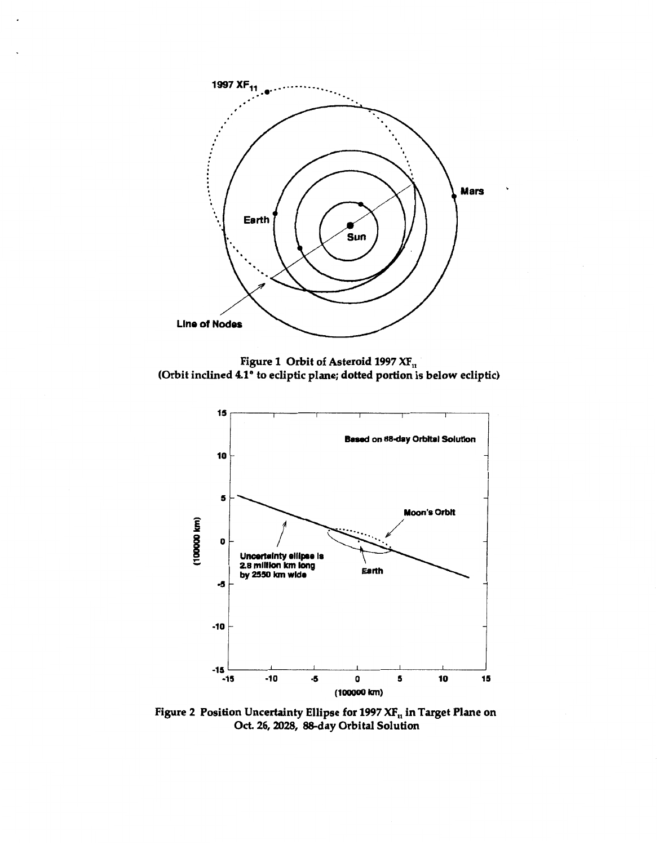

**Figure 1 Orbit of Asteroid 1997** *XF,*  **(Orbit inclined 4.1" to ecliptic plane; dotted portion is below ecliptic)** 



**Figure 2 Position Uncertainty Ellipse for 1997 XF,, in Target Plane on**  *Oct.* **26,2028, -day Orbital Solution**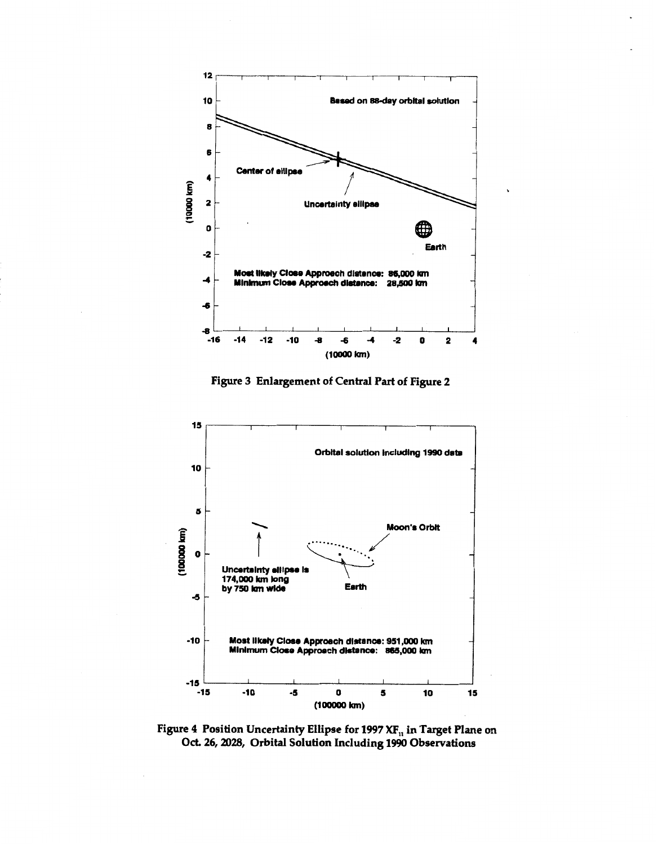<span id="page-3-0"></span>

**Figure 3 Enlargement of Central Part of Figure 2** 



**Figure 4 Position Uncertainty Ellipse for 1997 XF,, in Target Plane on**  *Oct.* **26,2028, Orbital Solution Including 1990 Observations**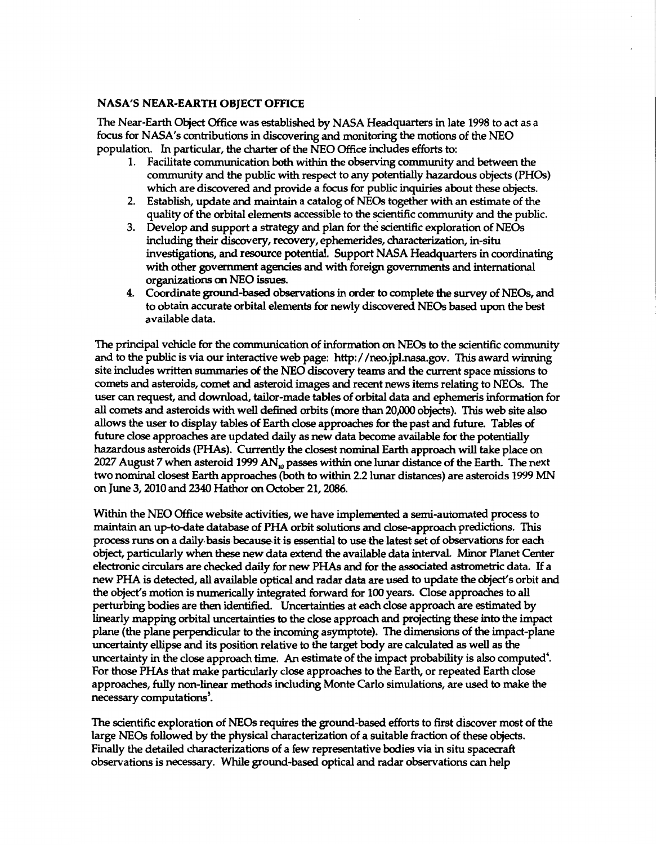# **NASA's NEAR-EARTH OBJECT OFFICE**

**The Near-Earth Object Office was established by NASA Headquarters in late 1998 to act as a focus for NASA's contributions in discovering and monitoring** the **motions of the** NE0 **population.** In **particular, the charter of the** NE0 **Office includes efforts to:** 

- **1. Facilitate Communication** both **within the observing community and** between **the community and the public with respect to any potentially hazardous objects (PHOs)**  which are discovered and provide a focus for public inquiries about these objects.
- **2. Establish, update** and **maintain a catalog of NEOs together with an estimate of the quality of the orbital elements accessible to the scientific community and the public.**
- **3. Develop and support a strategy and plan for the scientific exploration of** NEOs **including their discovery, recovery, ephemerides, characterization, in-situ investigations, and resource potential. Support NASA Headquarters in coordinating with** *other* **govemment agencies** and **with foreign** *governments* **and international organizations** *on* NE0 **issues.**
- **4. Coordinate** ground-based **observations in order to complete** the *survey* **of** NE@, **and to obtain accurate orbital elements** for **newly discovered NEOs** based **upon the best available data.**

**The prinapal vehicle** for **the communication of information** *on* **NEOS to the scientific community and to the public** is **via our interactive web page: [http://neo.jpl.nasa.gov.](http://neo.jpl.nasa.gov)** This **award winning site includes written summaries of the** NE0 **discovery teams** and **the current space missions to comets** and **asteroids, comet** and **asteroid** images and **recent news items relating to NEOs. The**  user **can request, and download, tailor-made tables of orbital data** and **ephemeris information for**  all comets and asteroids with well defined orbits (more than 20,000 objects). This web site also **allows the** user **to display tables of Earth close approaches for the past** and **future. Tables** *of*  **future** *close* **approaches are updated daily as new data become available for the potentially hazardous asteroids (PHAs). Currently** the **closest nominal Earth approach** will **take place** *on*  **2027 August 7 when asteroid 1999** AN, **passes within one lunar distance of the Earth. The next**  two **nominal closest Earth approaches (both to within 2.2 lunar distances) are asteroids 1999** MN *on* **June 3,2010 and** *2340* **Hathor** *on* **October 21,2086.** 

**Within the** NE0 **Office website activities, we have implemented a semi-automated process to maintain an up-to-date database of PHA orbit solutions and closeapproach predictions. This process** runs *on* **a dailybasis becauseit** is **essential** to use **the latest** *set* **of observations for each object, particularly when** these **new data** *extend* **the available data intewal. Minor Planet Center electronic circulars are checked daily for new PHAs and for** the **associated astrometric data.** If **a new PHA** is **detected, all available optical and radar data are** used **to update** the **object's orbit** and **the object's motion is numerically integrated forward for 100 years. Close approaches to all perturbing bodies are then identified. Uncertainties at each close approach are estimated by linearly mapping orbital uncertainties** to **the close approach and projecting these into the impact plane (the plane perpendicular** to the **incoming asymptote). The dimensions of the impact-plane uncertainty ellipse** and **its position relative** to **the target body are calculated** as **well as the uncertainty in the close approach** time. **An estimate of the impact probability** is also **computed'. For those PHAs that make particularly close approaches to the Earth, or repeated Earth close approaches, fully non-linear methods including Monte Carlo simulations, are** used to **make the necessary computations'.** 

**The scientific exploration of NEOs requires the ground-based efforts to first discover most of the large NEOS followed by the physical characterization of a suitable fraction of these objects.**  Finally the detailed characterizations of a few representative bodies via in situ spacecraft observations is necessary. While ground-based optical and radar observations can help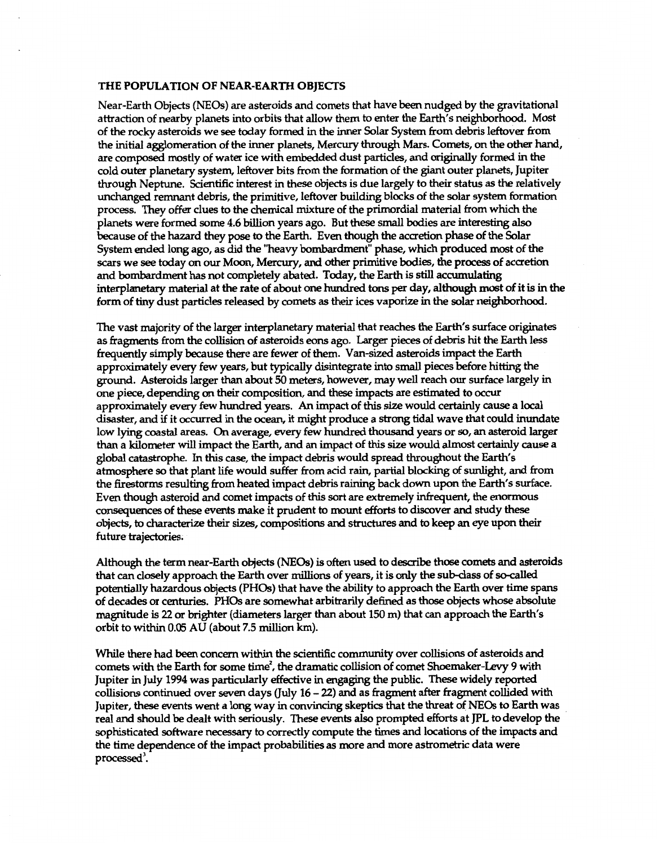## **THE POPULATION OF NEAR-EARTH OBJECTS**

Near-Earth **Objects** (NEOs) are asteroids and comets that have been nudged by the gravitational attraction of nearby planets into orbits that allow them to enter the **Earth's** neighborhood. Most of the rocky asteroids we *see* today formed in the inner Solar System from debris leftover from the initial agglomeration of the inner planets, Mercury through Mars. Comets, on the other hand, are composed mostly of water ice with embedded dust particles, and originally formed in the cold outer planetary system, leftover bits from the formation of the giant outer planets, Jupiter through Neptune. Scientific interest in these **objects** is due largely to their status as the relatively unchanged remnant debris, the primitive, leftover building blocks of the solar system formation process. **They offer** clues to the chemical mixture ofthe primordial material from which the planets were formed some **4.6** billion years ago. But these **small** bodies are interesting also because of the hazard they pose to the Earth. Even though the accretion phase of the Solar System ended **long** ago, as did the "heavy bombardment" phase, which produced most of the *scars* we *see* today *on* **our** Moon, Mercury, and other primitive bodies, the process of accretion and bombardment **has** not completely abated. Today, the Earth is **still** accumulating interplanetary material at the rate of about *one* hundred tons **per** day, although most **of** it is in the form **of** tiny dust particles released by comets as their ices vaporize in the solar neighborhood.

The vast majority of the larger interplanetary material that reaches the **Earth's** surface originates as fragments from the collision of asteroids *eons* ago. Larger pieces of debris hit the Earth less frequently simply because there are fewer of them. Van-sized asteroids impact the Earth approximately every few years, but typically disintegrate into **small** pieces before hitting the ground. Asteroids larger than about **50** meters, however, may well reach our surface largely in one piece, depending on their composition, and these impacts are estimated to occur approximately every few hundred years. **An** impact of this *size* would certainly cause a local disaster, and if it *occurred* in the ocean, it might produce a *strong* tidal wave that could inundate low **lying** coastal areas. *On* average, every few hundred thousand years or *so,* anasteroid larger than a kilometer will impact the Earth, and an impact of this *size* would almost certainly *cause* a global catastrophe. In this case, the impact debris would spread throughout the **Earth's**  atmosphere *so* that plant life would suffer from acid rain, partial blocking *of* sunlight, and from the firestorms resulting from heated impact debris raining back down upon the **Earth's** surface. Even though asteroid and comet impacts of this sort are extremely infrequent, the enormous consequences of these events make it prudent to mount **efforts** to discover and study these **objects,** to characterize their sizes, compositions and *structures* and to keep an eye upon their future trajectories;

Although the term near-Earth objects (NEOs) is often used to describe those comets and asteroids that can closely approach the Earth over millions of years, it is only the sub-class of so-called potentially hazardous **objects (PHOs)** that have the ability to approach the Earth over time spans of decades *or* centuries. **PHOs** are somewhat arbitrarily defined asthose **objects** whose absolute magnitude is 22 *or* brighter (diameters larger than about 150 m) that *can* approach the Earth's orbit to within *0.05* AU (about **7.5** million **km).** 

While there had been concern within the scientific community over collisions of asteroids and comets with the Earth for some time', the dramatic collision of comet Shoemaker-Levy **9** with Jupiter in July **1994** was particularly effective in *engaging* the public. These widely reported collisions continued over seven days (July **16** - 22) and as fragment after fragment collided with Jupiter, these events went a **long** way in convincing skeptics thate threat **of NEOs** to Earth was real and should be dealt with seriously. These events also prompted efforts at **JPL** to develop the sophisticated software necessary to correctly compute the times and locations of the impacts and the time dependence **of** the impact probabilities **as** more and more astrometric data were processed'.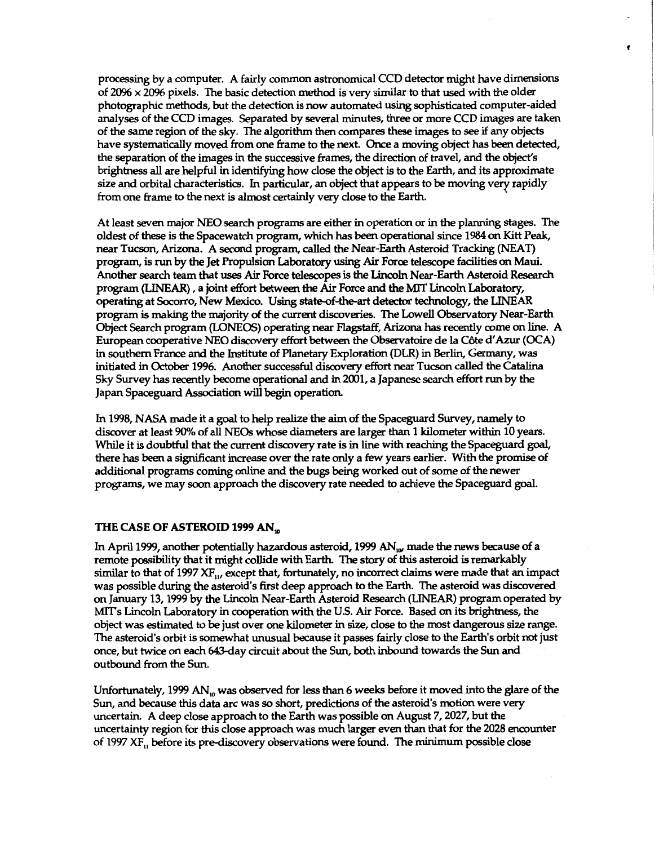**processing by a computer. A fairly common astronomical** CCD **detector might have dimensions of 2096** *x* **2096 pixels.** The **basic detection method is very similar** to **that** used **with the older photographic methods, but the detection is now automated using sophisticated computer-aided analyses of the** CCD **images. Separated by several minutes,** three **or more** CCD **images are taken of the same region of the sky. The algorithm then compares these images to** *see* if **any objects have systematically moved from one frame to** the **next. Once a moving object has** been **detected, the separation of the images in the successive frames, the** direction **of travel,** and **the object's brightness all are helpful in identifying how close the object is to the Earth, and its approximate size and orbital characteristics.** In **particular, an object that appears to be moving very rapidly from one frame to the next** is **almost certainly very** *close* **to** the **Earth.** 

**At least seven major NE0 search programs are either in operation** *or* **in the planning stages. The oldest of** these **is the Spacewatch program, which has** been **operational since 1984** *on* **Kitt Peak, near Tucson,** *Arizona.* **A second program, called the Near-Earth Asteroid Tracking (NEAT) program,** is run **by the Jet Propulsion Laboratory** *using* **Air Force telescope facilities** *on* Maui. Another **search team that** uses **Air Force telescopes is** the Lincoln **Near-Earth Asteroid Research program** *(LINEAR),* **a joint** *effort* between the **Air Force and the** MIT **Lincoln Laboratory, operating at Socorro, New Mexico. Using stateof-hart detector technology,** the LINEAR **program** is *makq* **the majority** *of* **the current discoveries. The Lowell Observatory Near-Earth Object Search program (LONEOS) operating near** Flagstaff, Arizona **has recently come** *on* **line. A European cooperative** NE0 **discovery** *effort* between **the Observatoire de** la **CSte d'Azur (OCA)**  in southern France and the Institute of Planetary Exploration (DLR) in Berlin, Germany, was **initiated in October 1996. Another successful discovery effort near Tucson called the Catalina Sky Survey has recently become operational and in 2001, a Japanese search effort** run **by** the **Japan Spaceguard Association** will **begin operation.** 

In **1998, NASA made it a** *goal* **to help realize** the **aim of the Spaceguard Survey, namely to discover at least** *90%* **of** all **NEOs whose diameters are larger** than **1 kilometer within 10 years.**  While it is doubtful that the current discovery rate is in line with reaching the Spaceguard goal, **there has** been **a sigruiicant increase over the rate only a few years earlier. With the promise of additional programs coming online and the bugs** bemg **worked out of** *some* **of the newer programs, we may** *soon* **approach the discovery rate needed** to **achieve the Spaceguard** *goal.* 

### **THE CASE OF ASTEROID 1999** AN,

In **April 1999, another potentially hazardous asteroid, 1999** *ANw* **made** the **news** because **of a remote possibility that it might collide with** Earth The **story of this asteroid** is **remarkably similar to that of 1997** *XF,,,* **except that, fortunately, no** incorrect **claims were made that an impact was possible during the asteroid's first deep approach to the** Earth. **The asteroid was discovered**  *on* **January 13,1999 by the Lincoln Near-Earth Asteroid Research** (LINEAR) **program operated by MITs Lincoln Laboratory in cooperation with the US. Air Force. Based** *on* **its brightness, the object was estimated** to be **just over one kilometer in** *size, close* to **the mst dangerous size range. The asteroid's orbit is somewhat unusual because it passes fairly close to the Earth's orbit not just once, but twice** *on* **each Way circuit about the Sun,** both **inbound towards the Sun and outbound from the** Sun.

**Unfortunately, 1999** AN,, **was observed for less** than **6 weeks before it moved into the glare of** the Sun, **and** because this **data arc was** *so* **short, predictions of the asteroid's motion were very uncertain. A deep close approach to the Earth was possible** *on* **August 7,2027, but the uncertainty region for** this **close approach was much larger even** than **that for the 2028 encounter of 1997 XF,, before its predixovery observations were found. The minimum possible** *close*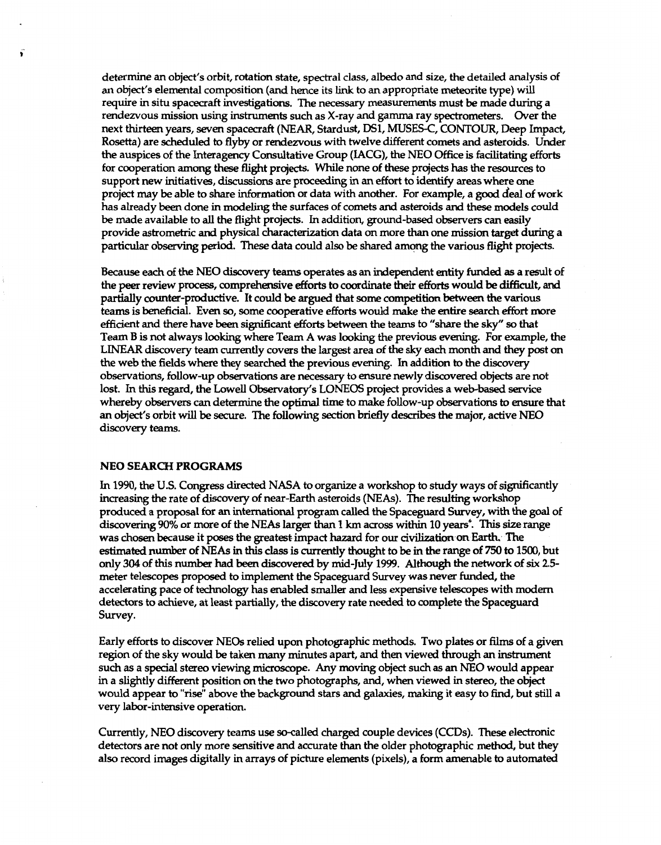determine an object's orbit, rotation state, spectral class, albedo and size, the detailed analysis **of**  an object's elemental composition (and hence its link to an appropriate meteorite type) will require in situ spacecraft investigations. The necessary measurements must be made during a rendezvous mission using instruments such as X-ray and gamma ray spectrometers. Over the next thirteen years, seven spacecraft (NEAR, Stardust, **DS1,** MUSESC, CONTOUR, Deep Impact, **Rosetta)** are scheduled to flyby or rendezvous with twelve different comets and asteroids. Under the auspices of the Interagency Consultative Group (IACG), the NE0 Office is **facilitating** efforts for cooperation among these flight projects. While none of these projects has the resources to support new initiatives, discussions are proceeding in an effort to identify areas where one project may be able to share information *or* data with another. For example, a *good* **deal** of work has already been done in modeling the surfaces of comets and asteroids and these models could be made available to all the flight projects. In addition, ground-based observers can easily provide astrometric and physical characterization data *on* more than **one** mission target during a particular **observing** period. These data could also be shared amqng the various flight projects.

Because each of the NE0 discovery teams operates **as** an independent **entity funded as** a result **of**  the peer review process, comprehensive **efforts** to coordinate their efforts would be difficult, and partially counter-productive. It could be argued that some competition between the various teams is heficial. Even *so,* some cooperative efforts would make the entire *search* **effort** more efficient **and** there have been significant **efforts** between the teams to "share the **sky"** *so* that Team **B is** not always lookmg where Team **A** was looking the previous *evening.* For example, the LINEAR discovery team currently covers the largest area of the *sky* each month and they post *on*  the web the fields where they searched theprevious *evening.* In addition to the discovery observations, follow-up observations are necessary to ensure newly discovered objects are not lost. In this regard, the Lowell Observatory's **LONEOS** project provides a web-based service whereby observers can determine the optimal time to make follow-up observations to ensure that an object's orbit wiU be secure. The **following** *section* briefly describes the major, active NE0 discovery teams.

#### **NE0 SEARCH PROGRAMS**

In **1990,** the U.S. Congress directed **NASA** to organize a workshop to study ways of sigruficantly increasing the rate of discovery of near-Earth asteroids (NE&). The resulting workshop produced a proposal for aninternational program called the Spaceguard *Survey,* with the *goal* **of**  discovering 90% or more of the NE& larger than **1 km** across within **10** years6. **This** *size* range was chosen because it poses the greatest impact hazard for our civilization on Earth. The estimated number of *NEAs* in this class is currently thought to be in the **range** of 750 to **1500,** but only *304* of this number had been discovered by mid-July **1999.** Although the network **of** *six* **2.5**  meter telescopes proposed to implement the Spaceguard Survey was never funded, the accelerating pace of technology has enabled smaller and less expensive telescopes with modem detectors to achieve, at least partially, the discovery rate needed to complete the Spaceguard Survey.

Early efforts to discover NEOs relied upon photographic **methods.** Two plates or films of a given region of the sky would be taken many minutes apart, and then viewed through an instrument **such** as a **special** stereo viewing microscope. Any **moving** object **such as** an NE0 would appear in a slightly different position *on* the two photographs, and, when viewed in staeo, the object would appear to "rise" above the background stars and galaxies, **making** it easy **to** find, but *still* a very labor-intensive operation.

Currently, NE0 discovery teams **use** socalled *charged* couple devices (CCDs). These electronic detectors are not only more sensitive and accurate than the older photographic method, but they also record images digitally in arrays of picture elements (pixels), a **form** amenable to automated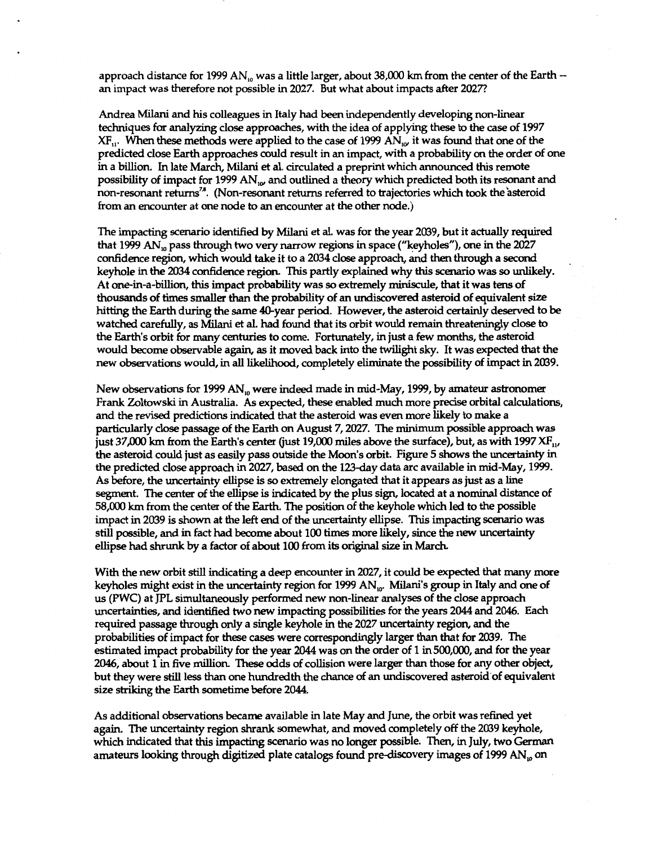approach distance for 1999 AN<sub>10</sub> was a little larger, about 38,000 km from the center of the Earth --<br>an impact was therefore not possible in 2027. But what about impacts after 2027?

Andrea Milani and his colleagues in Italy had been independently developing non-linear techniques for analyzing *close* approaches, with the idea of applying these to the *case* **of 1997**  *XF,,.* When these methods were applied to the case of **1999** AN,, it was found that one **of** the predicted close Earth approaches could result in an impact, with a probability *on* the order of one in a billion. In late March, Milani *et* al. circulated a preprint which announced **this** remote possibility of impact for 1999 AN<sub>10</sub> and outlined a theory which predicted both its resonant and non-resonant returns<sup>78</sup>. (Non-resonant returns referred to trajectories which took the asteroid from an encounter at one node to an encounter at the other node.)

The impacting *scenario* identified by Milani et al. was for the year **2039,** but it adually required that **1999** AN, pass through two very narrow regions in space ("keyholes"), one in the **2027**  confidence region, which would take it to a **2034** *close* approach, id then through a *second*  keyhole in the *2034* confidence region. This partly explained why this *scenario* was *so* unlikely. At onein-a-billion, this impact probability was *so* extremely miniscule, that it **was** tens of thousands of times smaller than **the** probability of an undiscovered asteroid *of* equivalent *size*  hitting the Earth during the same 40-year period. However, the asteroid certainly deserved to be watched carefully, as Milani *et* al. had found that its orbit would remain threateningly *close* to the Earth's orbit for **many** centuries to come. Fortunately, in **just a** few mcmths, the asteroid would become observable again, as it moved back into the twilight sky. It was expected that the new observations would, in **all** likelihood, completely eliminate the possibility *of* impact in **2039.** 

New observations for **1999** AN, were indeed made in mid-May, **1999,** by amateur astronomer Frank Zoltowski in Australia. *As* expected, these enabled much more precise orbital calculations, and the revised predictions indicated that the asteroid was even more likely to make a particularly *close* passage **of** the **Earth** *on* August **7,2027.** The minimum possible approach was just **37,000 km** from the **Earth's** center (just **19,000 miles** above the surface), but, as with **1997 XF,,,**  the asteroid could just as easily pass outside the Moon's orbit. [Figure](#page-9-0) 5 shows the uncertainty in the predicted close approach in **2027,** based on the **123-day** data arc available in mid-May, **1999.**  *As* before, the uncertainty ellipse is *so* extremely elongated that it appears **as** just as **a** line segment. The center *of* the ellipse is indicated by the plus sign, located at a nominal distance of 58,000 km from the center of the Earth. The position of the keyhole which led to the possible impact in **2039 is** shown at the left *end* of the uncertainty ellipse. This impacting *scenario* was 58,000 km from the center of the Earth. The position of the keyhole which led to the possible<br>
impact in 2039 is shown at the left end of the uncertainty ellipse. This impacting scenario wa<br>
still possible, and in fact had ellipse had *shrunk* **by** a factor of about **100** from its **original** size in **March** 

With the new orbit *still* indicating a deep encounter in **2027,** it could be expected that many more keyholes might exist in the uncertainty region for **1999** AN,,. Milani's group in Italy and one **of**  us (PWC) at JPL simultaneously **performed** new non-linear analyses of the *close* approach uncertainties, and identified two new impacting possibilities for the years **2044** and **2046.** Each required passage through only a single keyhole in the 2027 uncertainty region, and the probabilities of impact for these cases were correspondingly larger than that for **2039.** The estimated impact probability for the year **2044** was on the order of **1** in **500,000,** and for the year **2046,** about **1** in five **million.** These **odds** *of* collision were larger than those for any **other object,**  but they were *still* less than one hundredth the chance *of* an undiscovered asteroid'of equivalent size **striking** the Earth sometime before **2044.** 

As additional observations became available in late May and June, the orbit was refined yet again. The uncertainty region *shrank* somewhat, and moved completely **off** the **2039** keyhole, which indicated that this impacting scenario was no longer possible. Then, in July, two German amateurs **looking** through **digitized** plate catalogs found prediscovery **images of 1999** AN, **on**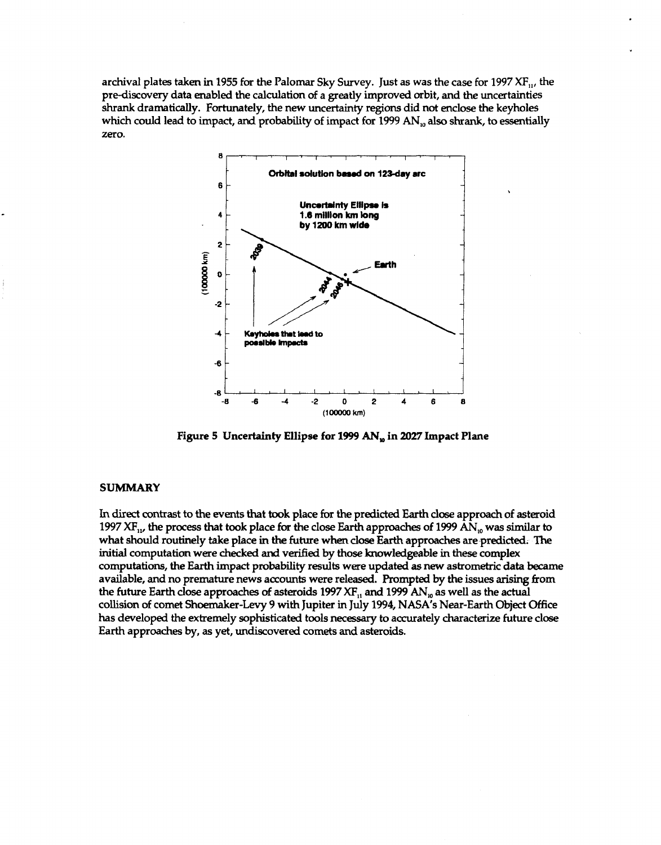<span id="page-9-0"></span>archival plates taken in **1955** for the Palomar **Sky** Survey. Just as was the case for **1997 XF,,,** the pre-discovery data enabled the calculation *of* a **greatly** improved orbit, and the uncertainties *shrank* dramatically. Fortunately, the new uncertainty regions **did** not enclose the keyholes which could lead **to** impact, and probability of impact **for** 1999 **AN,,** also *shrank,* to essentially *zero.* 



### **SUMMARY**

In **direct** contrast to the events that **took** place for the predicted **Earth** *close* approach **of** asteroid **<sup>1997</sup>**XF,,, the process that took place for the close Earth approaches **of 1999** AN, was **similar** to what should routinely **take** place in the future when *close* Earth approaches are.predicted. The **initial** computation were checked and verified by those knowledgeable in these complex computations, the **Earth** impact probability results were updated **as new** astrometric data became available, and no premature news **accounts** were released. Prompted **by** the issues **arising** from the future Earth *close* approaches *of* asteroids **1997** XF,, and **1999** AN, as well **as** the actual collision of comet shoemaker-Levy 9 with Jupiter in July **1994,** NASA's Near-Earth **Object** *Office*  **has** developed the extremely sophisticated tools necessary **to** accurately characterize future close **Earth** approaches by, as yet, undiscovered comets and asteroids.